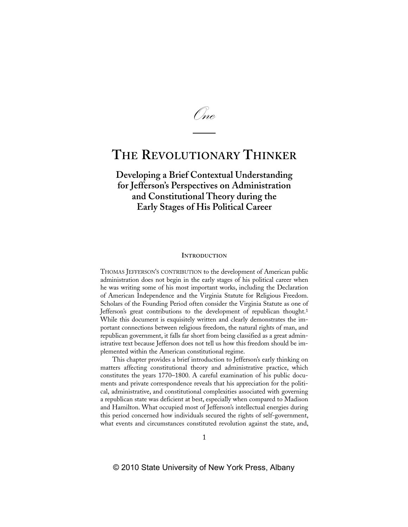

# **THE REVOLUTIONARY THINKER**

# **Developing a Brief Contextual Understanding for Jefferson's Perspectives on Administration and Constitutional Theory during the Early Stages of His Political Career**

#### **INTRODUCTION**

THOMAS JEFFERSON'S CONTRIBUTION to the development of American public administration does not begin in the early stages of his political career when he was writing some of his most important works, including the Declaration of American Independence and the Virginia Statute for Religious Freedom. Scholars of the Founding Period often consider the Virginia Statute as one of Jefferson's great contributions to the development of republican thought.<sup>1</sup> While this document is exquisitely written and clearly demonstrates the important connections between religious freedom, the natural rights of man, and republican government, it falls far short from being classified as a great administrative text because Jefferson does not tell us how this freedom should be implemented within the American constitutional regime.

This chapter provides a brief introduction to Jefferson's early thinking on matters affecting constitutional theory and administrative practice, which constitutes the years 1770–1800. A careful examination of his public documents and private correspondence reveals that his appreciation for the political, administrative, and constitutional complexities associated with governing a republican state was deficient at best, especially when compared to Madison and Hamilton. What occupied most of Jefferson's intellectual energies during this period concerned how individuals secured the rights of self-government, what events and circumstances constituted revolution against the state, and,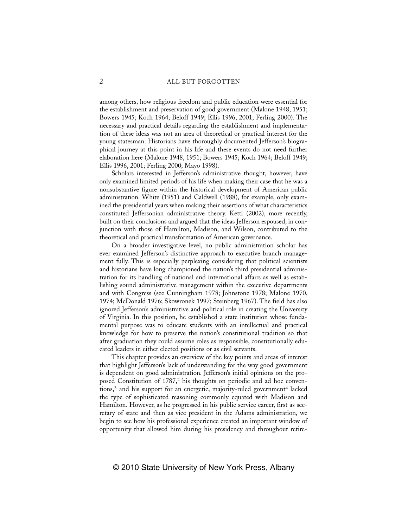among others, how religious freedom and public education were essential for the establishment and preservation of good government (Malone 1948, 1951; Bowers 1945; Koch 1964; Beloff 1949; Ellis 1996, 2001; Ferling 2000). The necessary and practical details regarding the establishment and implementation of these ideas was not an area of theoretical or practical interest for the young statesman. Historians have thoroughly documented Jefferson's biographical journey at this point in his life and these events do not need further elaboration here (Malone 1948, 1951; Bowers 1945; Koch 1964; Beloff 1949; Ellis 1996, 2001; Ferling 2000; Mayo 1998).

Scholars interested in Jefferson's administrative thought, however, have only examined limited periods of his life when making their case that he was a nonsubstantive figure within the historical development of American public administration. White (1951) and Caldwell (1988), for example, only examined the presidential years when making their assertions of what characteristics constituted Jeffersonian administrative theory. Kettl (2002), more recently, built on their conclusions and argued that the ideas Jefferson espoused, in conjunction with those of Hamilton, Madison, and Wilson, contributed to the theoretical and practical transformation of American governance.

On a broader investigative level, no public administration scholar has ever examined Jefferson's distinctive approach to executive branch management fully. This is especially perplexing considering that political scientists and historians have long championed the nation's third presidential administration for its handling of national and international affairs as well as establishing sound administrative management within the executive departments and with Congress (see Cunningham 1978; Johnstone 1978; Malone 1970, 1974; McDonald 1976; Skowronek 1997; Steinberg 1967). The field has also ignored Jefferson's administrative and political role in creating the University of Virginia. In this position, he established a state institution whose fundamental purpose was to educate students with an intellectual and practical knowledge for how to preserve the nation's constitutional tradition so that after graduation they could assume roles as responsible, constitutionally educated leaders in either elected positions or as civil servants.

This chapter provides an overview of the key points and areas of interest that highlight Jefferson's lack of understanding for the way good government is dependent on good administration*.* Jefferson's initial opinions on the proposed Constitution of 1787,2 his thoughts on periodic and ad hoc conventions,<sup>3</sup> and his support for an energetic, majority-ruled government<sup>4</sup> lacked the type of sophisticated reasoning commonly equated with Madison and Hamilton. However, as he progressed in his public service career, first as secretary of state and then as vice president in the Adams administration, we begin to see how his professional experience created an important window of opportunity that allowed him during his presidency and throughout retire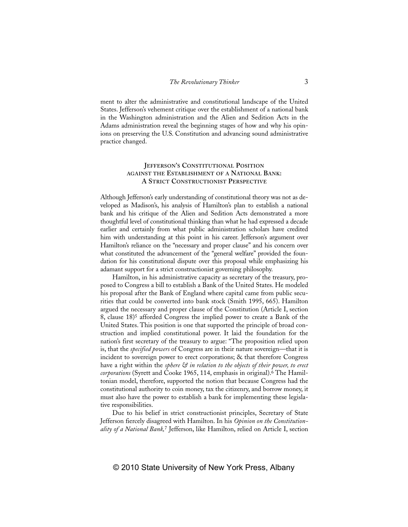ment to alter the administrative and constitutional landscape of the United States. Jefferson's vehement critique over the establishment of a national bank in the Washington administration and the Alien and Sedition Acts in the Adams administration reveal the beginning stages of how and why his opinions on preserving the U.S. Constitution and advancing sound administrative practice changed.

## **JEFFERSON'S CONSTITUTIONAL POSITION AGAINST THE ESTABLISHMENT OF A NATIONAL BANK: A STRICT CONSTRUCTIONIST PERSPECTIVE**

Although Jefferson's early understanding of constitutional theory was not as developed as Madison's, his analysis of Hamilton's plan to establish a national bank and his critique of the Alien and Sedition Acts demonstrated a more thoughtful level of constitutional thinking than what he had expressed a decade earlier and certainly from what public administration scholars have credited him with understanding at this point in his career. Jefferson's argument over Hamilton's reliance on the "necessary and proper clause" and his concern over what constituted the advancement of the "general welfare" provided the foundation for his constitutional dispute over this proposal while emphasizing his adamant support for a strict constructionist governing philosophy.

Hamilton, in his administrative capacity as secretary of the treasury, proposed to Congress a bill to establish a Bank of the United States. He modeled his proposal after the Bank of England where capital came from public securities that could be converted into bank stock (Smith 1995, 665). Hamilton argued the necessary and proper clause of the Constitution (Article I, section 8, clause 18)5 afforded Congress the implied power to create a Bank of the United States. This position is one that supported the principle of broad construction and implied constitutional power. It laid the foundation for the nation's first secretary of the treasury to argue: "The proposition relied upon is, that the *specified powers* of Congress are in their nature sovereign—that it is incident to sovereign power to erect corporations; & that therefore Congress have a right within the *sphere & in relation to the objects of their power, to erect corporations* (Syrett and Cooke 1965, 114, emphasis in original).6 The Hamiltonian model, therefore, supported the notion that because Congress had the constitutional authority to coin money, tax the citizenry, and borrow money, it must also have the power to establish a bank for implementing these legislative responsibilities.

Due to his belief in strict constructionist principles, Secretary of State Jefferson fiercely disagreed with Hamilton. In his *Opinion on the Constitutionality of a National Bank,*<sup>7</sup> Jefferson, like Hamilton, relied on Article I, section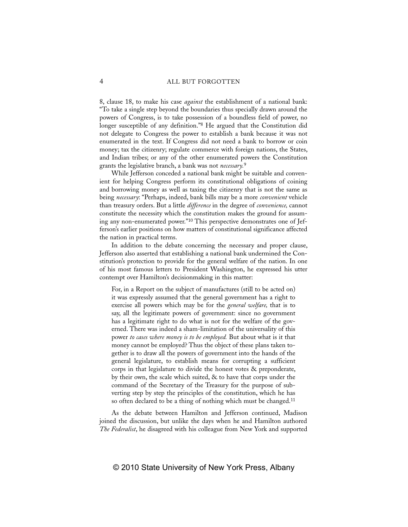8, clause 18, to make his case *against* the establishment of a national bank: "To take a single step beyond the boundaries thus specially drawn around the powers of Congress, is to take possession of a boundless field of power, no longer susceptible of any definition."8 He argued that the Constitution did not delegate to Congress the power to establish a bank because it was not enumerated in the text. If Congress did not need a bank to borrow or coin money; tax the citizenry; regulate commerce with foreign nations, the States, and Indian tribes; or any of the other enumerated powers the Constitution grants the legislative branch, a bank was not *necessary.*<sup>9</sup>

While Jefferson conceded a national bank might be suitable and convenient for helping Congress perform its constitutional obligations of coining and borrowing money as well as taxing the citizenry that is not the same as being *necessary*: "Perhaps, indeed, bank bills may be a more *convenient* vehicle than treasury orders. But a little *difference* in the degree of *convenience,* cannot constitute the necessity which the constitution makes the ground for assuming any non-enumerated power."10 This perspective demonstrates one of Jefferson's earlier positions on how matters of constitutional significance affected the nation in practical terms.

In addition to the debate concerning the necessary and proper clause, Jefferson also asserted that establishing a national bank undermined the Constitution's protection to provide for the general welfare of the nation. In one of his most famous letters to President Washington, he expressed his utter contempt over Hamilton's decisionmaking in this matter:

For, in a Report on the subject of manufactures (still to be acted on) it was expressly assumed that the general government has a right to exercise all powers which may be for the *general welfare,* that is to say, all the legitimate powers of government: since no government has a legitimate right to do what is not for the welfare of the governed. There was indeed a sham-limitation of the universality of this power *to cases where money is to be employed.* But about what is it that money cannot be employed? Thus the object of these plans taken together is to draw all the powers of government into the hands of the general legislature, to establish means for corrupting a sufficient corps in that legislature to divide the honest votes & preponderate, by their own, the scale which suited, & to have that corps under the command of the Secretary of the Treasury for the purpose of subverting step by step the principles of the constitution, which he has so often declared to be a thing of nothing which must be changed.11

As the debate between Hamilton and Jefferson continued, Madison joined the discussion, but unlike the days when he and Hamilton authored *The Federalist*, he disagreed with his colleague from New York and supported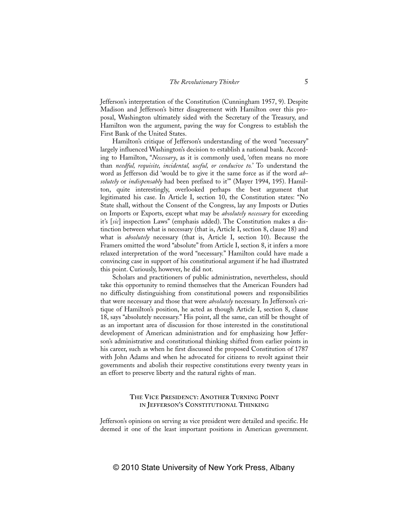Jefferson's interpretation of the Constitution (Cunningham 1957, 9). Despite Madison and Jefferson's bitter disagreement with Hamilton over this proposal, Washington ultimately sided with the Secretary of the Treasury, and Hamilton won the argument, paving the way for Congress to establish the First Bank of the United States.

Hamilton's critique of Jefferson's understanding of the word "necessary" largely influenced Washington's decision to establish a national bank. According to Hamilton, "*Necessary*, as it is commonly used, 'often means no more than *needful, requisite, incidental, useful, or conducive to.*' To understand the word as Jefferson did 'would be to give it the same force as if the word *absolutely* or *indispensably* had been prefixed to it'" (Mayer 1994, 195). Hamilton, quite interestingly, overlooked perhaps the best argument that legitimated his case. In Article I, section 10, the Constitution states: "No State shall, without the Consent of the Congress, lay any Imposts or Duties on Imports or Exports, except what may be *absolutely necessary* for exceeding it's [*sic*] inspection Laws" (emphasis added). The Constitution makes a distinction between what is necessary (that is, Article I, section 8, clause 18) and what is *absolutely* necessary (that is, Article I, section 10). Because the Framers omitted the word "absolute" from Article I, section 8, it infers a more relaxed interpretation of the word "necessary." Hamilton could have made a convincing case in support of his constitutional argument if he had illustrated this point. Curiously, however, he did not.

Scholars and practitioners of public administration, nevertheless, should take this opportunity to remind themselves that the American Founders had no difficulty distinguishing from constitutional powers and responsibilities that were necessary and those that were *absolutely* necessary. In Jefferson's critique of Hamilton's position, he acted as though Article I, section 8, clause 18, says "absolutely necessary." His point, all the same, can still be thought of as an important area of discussion for those interested in the constitutional development of American administration and for emphasizing how Jefferson's administrative and constitutional thinking shifted from earlier points in his career, such as when he first discussed the proposed Constitution of 1787 with John Adams and when he advocated for citizens to revolt against their governments and abolish their respective constitutions every twenty years in an effort to preserve liberty and the natural rights of man.

### **THE VICE PRESIDENCY: ANOTHER TURNING POINT IN JEFFERSON'S CONSTITUTIONAL THINKING**

Jefferson's opinions on serving as vice president were detailed and specific. He deemed it one of the least important positions in American government.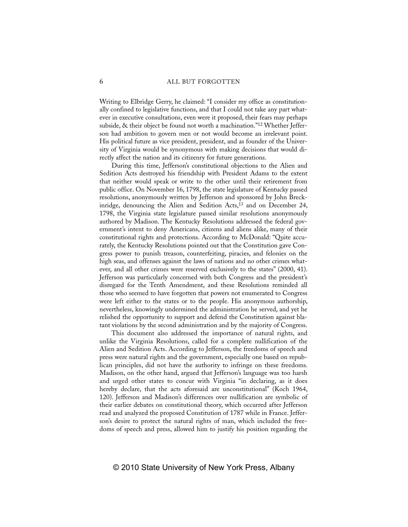Writing to Elbridge Gerry, he claimed: "I consider my office as constitutionally confined to legislative functions, and that I could not take any part whatever in executive consultations, even were it proposed, their fears may perhaps subside, & their object be found not worth a machination."12 Whether Jefferson had ambition to govern men or not would become an irrelevant point. His political future as vice president, president, and as founder of the University of Virginia would be synonymous with making decisions that would directly affect the nation and its citizenry for future generations.

During this time, Jefferson's constitutional objections to the Alien and Sedition Acts destroyed his friendship with President Adams to the extent that neither would speak or write to the other until their retirement from public office. On November 16, 1798, the state legislature of Kentucky passed resolutions, anonymously written by Jefferson and sponsored by John Breckinridge, denouncing the Alien and Sedition Acts,<sup>13</sup> and on December 24, 1798, the Virginia state legislature passed similar resolutions anonymously authored by Madison. The Kentucky Resolutions addressed the federal government's intent to deny Americans, citizens and aliens alike, many of their constitutional rights and protections. According to McDonald: "Quite accurately, the Kentucky Resolutions pointed out that the Constitution gave Congress power to punish treason, counterfeiting, piracies, and felonies on the high seas, and offenses against the laws of nations and no other crimes whatever, and all other crimes were reserved exclusively to the states" (2000, 41). Jefferson was particularly concerned with both Congress and the president's disregard for the Tenth Amendment, and these Resolutions reminded all those who seemed to have forgotten that powers not enumerated to Congress were left either to the states or to the people. His anonymous authorship, nevertheless, knowingly undermined the administration he served, and yet he relished the opportunity to support and defend the Constitution against blatant violations by the second administration and by the majority of Congress.

This document also addressed the importance of natural rights, and unlike the Virginia Resolutions, called for a complete nullification of the Alien and Sedition Acts. According to Jefferson, the freedoms of speech and press were natural rights and the government, especially one based on republican principles, did not have the authority to infringe on these freedoms. Madison, on the other hand, argued that Jefferson's language was too harsh and urged other states to concur with Virginia "in declaring, as it does hereby declare, that the acts aforesaid are unconstitutional" (Koch 1964, 120). Jefferson and Madison's differences over nullification are symbolic of their earlier debates on constitutional theory, which occurred after Jefferson read and analyzed the proposed Constitution of 1787 while in France. Jefferson's desire to protect the natural rights of man, which included the freedoms of speech and press, allowed him to justify his position regarding the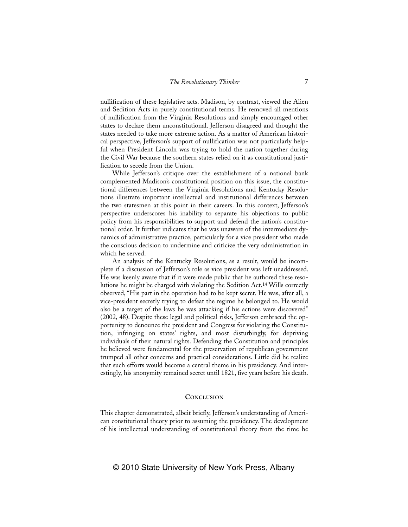nullification of these legislative acts. Madison, by contrast, viewed the Alien and Sedition Acts in purely constitutional terms. He removed all mentions of nullification from the Virginia Resolutions and simply encouraged other states to declare them unconstitutional. Jefferson disagreed and thought the states needed to take more extreme action. As a matter of American historical perspective, Jefferson's support of nullification was not particularly helpful when President Lincoln was trying to hold the nation together during the Civil War because the southern states relied on it as constitutional justification to secede from the Union.

While Jefferson's critique over the establishment of a national bank complemented Madison's constitutional position on this issue, the constitutional differences between the Virginia Resolutions and Kentucky Resolutions illustrate important intellectual and institutional differences between the two statesmen at this point in their careers. In this context, Jefferson's perspective underscores his inability to separate his objections to public policy from his responsibilities to support and defend the nation's constitutional order. It further indicates that he was unaware of the intermediate dynamics of administrative practice, particularly for a vice president who made the conscious decision to undermine and criticize the very administration in which he served.

An analysis of the Kentucky Resolutions, as a result, would be incomplete if a discussion of Jefferson's role as vice president was left unaddressed. He was keenly aware that if it were made public that he authored these resolutions he might be charged with violating the Sedition Act.14 Wills correctly observed, "His part in the operation had to be kept secret. He was, after all, a vice-president secretly trying to defeat the regime he belonged to. He would also be a target of the laws he was attacking if his actions were discovered" (2002, 48). Despite these legal and political risks, Jefferson embraced the opportunity to denounce the president and Congress for violating the Constitution, infringing on states' rights, and most disturbingly, for depriving individuals of their natural rights. Defending the Constitution and principles he believed were fundamental for the preservation of republican government trumped all other concerns and practical considerations. Little did he realize that such efforts would become a central theme in his presidency. And interestingly, his anonymity remained secret until 1821, five years before his death.

#### **CONCLUSION**

This chapter demonstrated, albeit briefly, Jefferson's understanding of American constitutional theory prior to assuming the presidency. The development of his intellectual understanding of constitutional theory from the time he